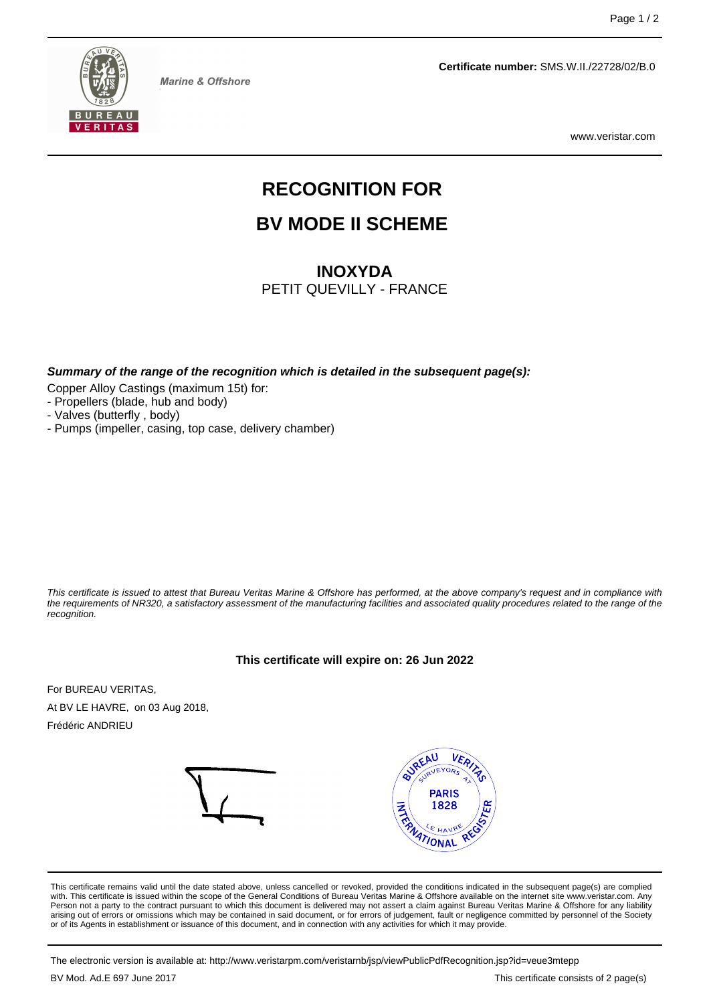

**Marine & Offshore** 

**Certificate number:** SMS.W.II./22728/02/B.0

www.veristar.com

# **RECOGNITION FOR**

## **BV MODE II SCHEME**

## **INOXYDA**

PETIT QUEVILLY - FRANCE

**Summary of the range of the recognition which is detailed in the subsequent page(s):**

Copper Alloy Castings (maximum 15t) for:

- Propellers (blade, hub and body)

- Valves (butterfly , body)

- Pumps (impeller, casing, top case, delivery chamber)

This certificate is issued to attest that Bureau Veritas Marine & Offshore has performed, at the above company's request and in compliance with the requirements of NR320, a satisfactory assessment of the manufacturing facilities and associated quality procedures related to the range of the recognition.

#### **This certificate will expire on: 26 Jun 2022**

For BUREAU VERITAS, At BV LE HAVRE, on 03 Aug 2018, Frédéric ANDRIEU



This certificate remains valid until the date stated above, unless cancelled or revoked, provided the conditions indicated in the subsequent page(s) are complied with. This certificate is issued within the scope of the General Conditions of Bureau Veritas Marine & Offshore available on the internet site www.veristar.com. Any Person not a party to the contract pursuant to which this document is delivered may not assert a claim against Bureau Veritas Marine & Offshore for any liability arising out of errors or omissions which may be contained in said document, or for errors of judgement, fault or negligence committed by personnel of the Society<br>or of its Agents in establishment or issuance of this docume

The electronic version is available at: http://www.veristarpm.com/veristarnb/jsp/viewPublicPdfRecognition.jsp?id=veue3mtepp